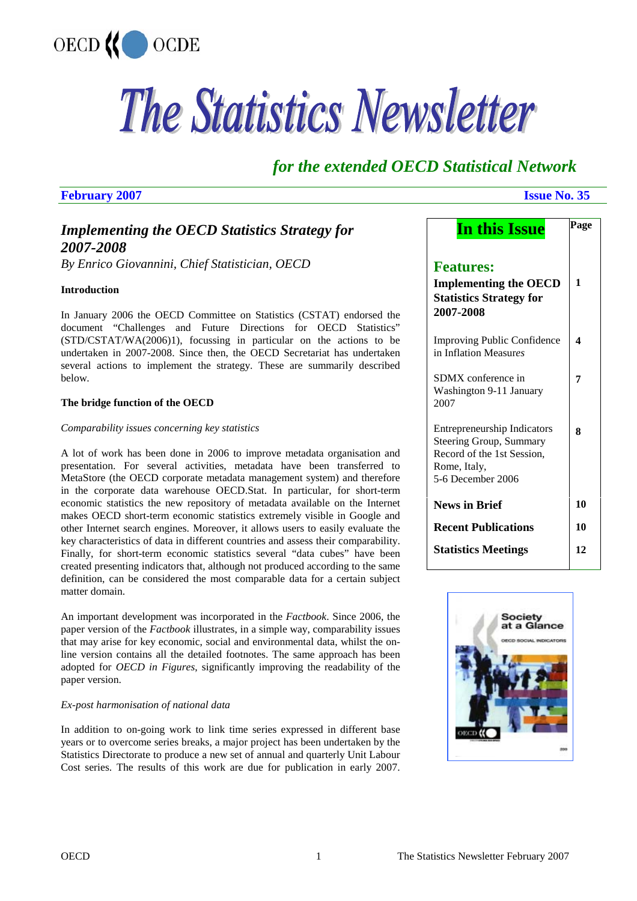

# The Statistics Newsletter

## *for the extended OECD Statistical Network*

#### **February 2007 Issue No. 35**

## *Implementing the OECD Statistics Strategy for 2007-2008*

*By Enrico Giovannini, Chief Statistician, OECD* 

#### **Introduction**

In January 2006 the OECD Committee on Statistics (CSTAT) endorsed the document "Challenges and Future Directions for OECD Statistics" (STD/CSTAT/WA(2006)1), focussing in particular on the actions to be undertaken in 2007-2008. Since then, the OECD Secretariat has undertaken several actions to implement the strategy. These are summarily described below.

#### **The bridge function of the OECD**

#### *Comparability issues concerning key statistics*

A lot of work has been done in 2006 to improve metadata organisation and presentation. For several activities, metadata have been transferred to MetaStore (the OECD corporate metadata management system) and therefore in the corporate data warehouse OECD.Stat. In particular, for short-term economic statistics the new repository of metadata available on the Internet makes OECD short-term economic statistics extremely visible in Google and other Internet search engines. Moreover, it allows users to easily evaluate the key characteristics of data in different countries and assess their comparability. Finally, for short-term economic statistics several "data cubes" have been created presenting indicators that, although not produced according to the same definition, can be considered the most comparable data for a certain subject matter domain.

An important development was incorporated in the *Factbook*. Since 2006, the paper version of the *Factbook* illustrates, in a simple way, comparability issues that may arise for key economic, social and environmental data, whilst the online version contains all the detailed footnotes. The same approach has been adopted for *OECD in Figures*, significantly improving the readability of the paper version.

#### *Ex-post harmonisation of national data*

In addition to on-going work to link time series expressed in different base years or to overcome series breaks, a major project has been undertaken by the Statistics Directorate to produce a new set of annual and quarterly Unit Labour Cost series. The results of this work are due for publication in early 2007.

| <b>In this Issue</b>                                                                                                             | Page |
|----------------------------------------------------------------------------------------------------------------------------------|------|
| <b>Features:</b><br><b>Implementing the OECD</b><br><b>Statistics Strategy for</b><br>2007-2008                                  | 1    |
| <b>Improving Public Confidence</b><br>in Inflation Measures                                                                      | 4    |
| SDMX conference in<br>Washington 9-11 January<br>2007                                                                            | 7    |
| <b>Entrepreneurship Indicators</b><br>Steering Group, Summary<br>Record of the 1st Session,<br>Rome, Italy,<br>5-6 December 2006 | 8    |
| <b>News in Brief</b>                                                                                                             | 10   |
| <b>Recent Publications</b>                                                                                                       | 10   |
| <b>Statistics Meetings</b>                                                                                                       | 12   |

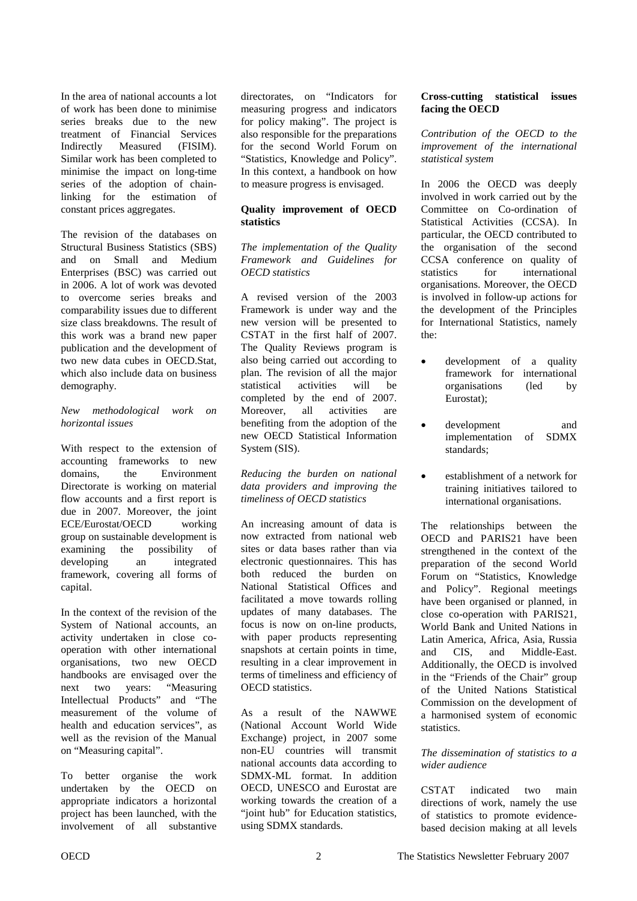In the area of national accounts a lot of work has been done to minimise series breaks due to the new treatment of Financial Services Indirectly Measured (FISIM). Similar work has been completed to minimise the impact on long-time series of the adoption of chainlinking for the estimation of constant prices aggregates.

The revision of the databases on Structural Business Statistics (SBS) and on Small and Medium Enterprises (BSC) was carried out in 2006. A lot of work was devoted to overcome series breaks and comparability issues due to different size class breakdowns. The result of this work was a brand new paper publication and the development of two new data cubes in OECD.Stat, which also include data on business demography.

#### *New methodological work on horizontal issues*

With respect to the extension of accounting frameworks to new domains, the Environment Directorate is working on material flow accounts and a first report is due in 2007. Moreover, the joint ECE/Eurostat/OECD working group on sustainable development is examining the possibility of developing an integrated framework, covering all forms of capital.

In the context of the revision of the System of National accounts, an activity undertaken in close cooperation with other international organisations, two new OECD handbooks are envisaged over the next two years: "Measuring Intellectual Products" and "The measurement of the volume of health and education services", as well as the revision of the Manual on "Measuring capital".

To better organise the work undertaken by the OECD on appropriate indicators a horizontal project has been launched, with the involvement of all substantive

directorates, on "Indicators for measuring progress and indicators for policy making". The project is also responsible for the preparations for the second World Forum on "Statistics, Knowledge and Policy". In this context, a handbook on how to measure progress is envisaged.

#### **Quality improvement of OECD statistics**

#### *The implementation of the Quality Framework and Guidelines for OECD statistics*

A revised version of the 2003 Framework is under way and the new version will be presented to CSTAT in the first half of 2007. The Quality Reviews program is also being carried out according to plan. The revision of all the major statistical activities will be completed by the end of 2007. Moreover, all activities are benefiting from the adoption of the new OECD Statistical Information System (SIS).

#### *Reducing the burden on national data providers and improving the timeliness of OECD statistics*

An increasing amount of data is now extracted from national web sites or data bases rather than via electronic questionnaires. This has both reduced the burden on National Statistical Offices and facilitated a move towards rolling updates of many databases. The focus is now on on-line products, with paper products representing snapshots at certain points in time, resulting in a clear improvement in terms of timeliness and efficiency of OECD statistics.

As a result of the NAWWE (National Account World Wide Exchange) project, in 2007 some non-EU countries will transmit national accounts data according to SDMX-ML format. In addition OECD, UNESCO and Eurostat are working towards the creation of a "joint hub" for Education statistics, using SDMX standards.

#### **Cross-cutting statistical issues facing the OECD**

*Contribution of the OECD to the improvement of the international statistical system* 

In 2006 the OECD was deeply involved in work carried out by the Committee on Co-ordination of Statistical Activities (CCSA). In particular, the OECD contributed to the organisation of the second CCSA conference on quality of statistics for international organisations. Moreover, the OECD is involved in follow-up actions for the development of the Principles for International Statistics, namely the:

- development of a quality framework for international organisations (led by Eurostat);
- development and implementation of SDMX standards;
- establishment of a network for training initiatives tailored to international organisations.

The relationships between the OECD and PARIS21 have been strengthened in the context of the preparation of the second World Forum on "Statistics, Knowledge and Policy". Regional meetings have been organised or planned, in close co-operation with PARIS21, World Bank and United Nations in Latin America, Africa, Asia, Russia and CIS and Middle-East. Additionally, the OECD is involved in the "Friends of the Chair" group of the United Nations Statistical Commission on the development of a harmonised system of economic statistics.

#### *The dissemination of statistics to a wider audience*

CSTAT indicated two main directions of work, namely the use of statistics to promote evidencebased decision making at all levels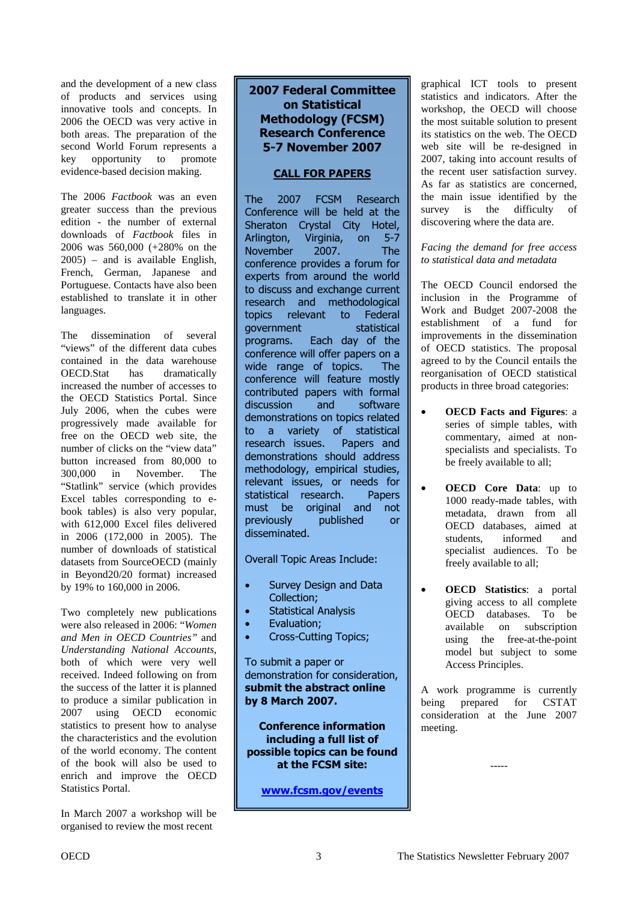and the development of a new class of products and services using innovative tools and concepts. In 2006 the OECD was very active in both areas. The preparation of the second World Forum represents a key opportunity to promote evidence-based decision making.

The 2006 *Factbook* was an even greater success than the previous edition - the number of external downloads of *Factbook* files in 2006 was 560,000 (+280% on the 2005) – and is available English, French, German, Japanese and Portuguese. Contacts have also been established to translate it in other languages.

The dissemination of several "views" of the different data cubes contained in the data warehouse OECD.Stat has dramatically increased the number of accesses to the OECD Statistics Portal. Since July 2006, when the cubes were progressively made available for free on the OECD web site, the number of clicks on the "view data" button increased from 80,000 to 300,000 in November. The "Statlink" service (which provides Excel tables corresponding to ebook tables) is also very popular, with 612,000 Excel files delivered in 2006 (172,000 in 2005). The number of downloads of statistical datasets from SourceOECD (mainly in Beyond20/20 format) increased by 19% to 160,000 in 2006.

Two completely new publications were also released in 2006: "*Women and Men in OECD Countries"* and *Understanding National Accounts*, both of which were very well received. Indeed following on from the success of the latter it is planned to produce a similar publication in 2007 using OECD economic statistics to present how to analyse the characteristics and the evolution of the world economy. The content of the book will also be used to enrich and improve the OECD Statistics Portal.

In March 2007 a workshop will be organised to review the most recent

#### 2007 Federal Committee **on Statistical Methodology (FCSM) Research Conference 5-7 November 2007**

#### **CALL FOR PAPERS**

**The** 2007 **FCSM Research** Conference will be held at the Sheraton Crystal City Hotel, Arlington, Virginia, on 5-7 November 2007. The conference provides a forum for experts from around the world to discuss and exchange current research and methodological topics relevant to Federal aovernment statistical programs. Each day of the conference will offer papers on a wide range of topics. **The** conference will feature mostly contributed papers with formal discussion and software demonstrations on topics related to a variety of statistical research issues. Papers and demonstrations should address methodology, empirical studies, relevant issues, or needs for statistical research. Papers must be original and not previously published or disseminated.

Overall Topic Areas Include:

- Survey Design and Data Collection;
- Statistical Analysis
- Evaluation;
- Cross-Cutting Topics;

To submit a paper or demonstration for consideration, submit the abstract online **by 8 March 2007.** 

**Conference information** including a full list of possible topics can be found at the FCSM site:

www.fcsm.gov/events

graphical ICT tools to present statistics and indicators. After the workshop, the OECD will choose the most suitable solution to present its statistics on the web. The OECD web site will be re-designed in 2007, taking into account results of the recent user satisfaction survey. As far as statistics are concerned, the main issue identified by the survey is the difficulty of discovering where the data are.

*Facing the demand for free access to statistical data and metadata* 

The OECD Council endorsed the inclusion in the Programme of Work and Budget 2007-2008 the establishment of a fund for improvements in the dissemination of OECD statistics. The proposal agreed to by the Council entails the reorganisation of OECD statistical products in three broad categories:

- **OECD Facts and Figures**: a series of simple tables, with commentary, aimed at nonspecialists and specialists. To be freely available to all;
- **OECD Core Data**: up to 1000 ready-made tables, with metadata, drawn from all OECD databases, aimed at students, informed and specialist audiences. To be freely available to all;
- **OECD Statistics**: a portal giving access to all complete OECD databases. To be available on subscription using the free-at-the-point model but subject to some Access Principles.

A work programme is currently being prepared for CSTAT consideration at the June 2007 meeting.

-----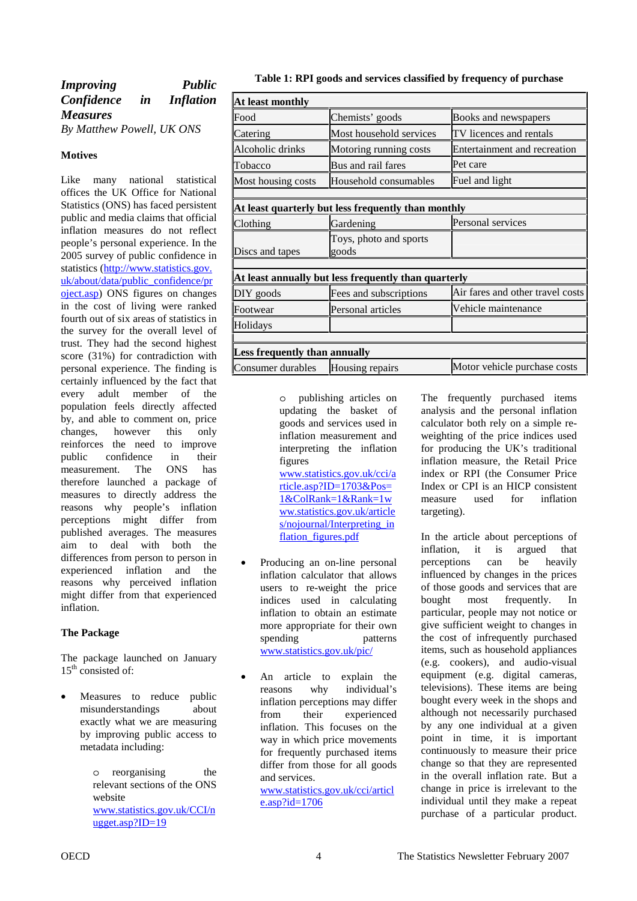<span id="page-3-0"></span>

| <i>Improving</i>          |    | <b>Public</b>    |
|---------------------------|----|------------------|
| Confidence                | in | <i>Inflation</i> |
| <b>Measures</b>           |    |                  |
| By Matthew Powell, UK ONS |    |                  |

#### **Motives**

Like many national statistical offices the UK Office for National Statistics (ONS) has faced persistent public and media claims that official inflation measures do not reflect people's personal experience. In the 2005 survey of public confidence in statistics (http://www.statistics.gov. uk/about/data/public\_confidence/pr oject.asp) ONS figures on changes in the cost of living were ranked fourth out of six areas of statistics in the survey for the overall level of trust. They had the second highest score (31%) for contradiction with personal experience. The finding is certainly influenced by the fact that every adult member of the population feels directly affected by, and able to comment on, price changes, however this only reinforces the need to improve public confidence in their measurement. The ONS has therefore launched a package of measures to directly address the reasons why people's inflation perceptions might differ from published averages. The measures aim to deal with both the differences from person to person in experienced inflation and the reasons why perceived inflation might differ from that experienced inflation.

#### **The Package**

The package launched on January  $15<sup>th</sup>$  consisted of:

Measures to reduce public misunderstandings about exactly what we are measuring by improving public access to metadata including:

> o reorganising the relevant sections of the ONS website [www.statistics.gov.uk/CCI/n](http://www.statistics.gov.uk/CCI/nugget.asp?ID=19) ugget.asp?ID=19

| At least monthly                                     |                                 |                                  |
|------------------------------------------------------|---------------------------------|----------------------------------|
| Food                                                 | Chemists' goods                 | Books and newspapers             |
| Catering                                             | Most household services         | TV licences and rentals          |
| Alcoholic drinks                                     | Motoring running costs          | Entertainment and recreation     |
| Tobacco                                              | Bus and rail fares              | Pet care                         |
| Most housing costs                                   | Household consumables           | Fuel and light                   |
|                                                      |                                 |                                  |
| At least quarterly but less frequently than monthly  |                                 |                                  |
| Clothing                                             | Gardening                       | Personal services                |
| Discs and tapes                                      | Toys, photo and sports<br>goods |                                  |
|                                                      |                                 |                                  |
| At least annually but less frequently than quarterly |                                 |                                  |
| DIY goods                                            | Fees and subscriptions          | Air fares and other travel costs |
| Footwear                                             | Personal articles               | Vehicle maintenance              |
| Holidays                                             |                                 |                                  |
|                                                      |                                 |                                  |
| Less frequently than annually                        |                                 |                                  |
| Consumer durables                                    | Housing repairs                 | Motor vehicle purchase costs     |

o publishing articles on updating the basket of goods and services used in inflation measurement and interpreting the inflation figures

[www.statistics.gov.uk/cci/a](http://www.statistics.gov.uk/cci/article.asp?ID=1703&Pos=1&ColRank=1&Rank=1www.statistics.gov.uk/articles/nojournal/Interpreting_inflation_figures.pdf) rticle.asp?ID=1703&Pos= 1&ColRank=1&Rank=1w ww.statistics.gov.uk/article s/nojournal/Interpreting\_in flation figures.pdf

- Producing an on-line personal inflation calculator that allows users to re-weight the price indices used in calculating inflation to obtain an estimate more appropriate for their own spending patterns www.statistics.gov.uk/pic/
- An article to explain the reasons why individual's inflation perceptions may differ from their experienced inflation. This focuses on the way in which price movements for frequently purchased items differ from those for all goods and services.

[www.statistics.gov.uk/cci/articl](http://www.statistics.gov.uk/cci/article.asp?id=1706) e.asp?id=1706

The frequently purchased items analysis and the personal inflation calculator both rely on a simple reweighting of the price indices used for producing the UK's traditional inflation measure, the Retail Price index or RPI (the Consumer Price Index or CPI is an HICP consistent measure used for inflation targeting).

In the article about perceptions of inflation, it is argued that perceptions can be heavily influenced by changes in the prices of those goods and services that are bought most frequently. In particular, people may not notice or give sufficient weight to changes in the cost of infrequently purchased items, such as household appliances (e.g. cookers), and audio-visual equipment (e.g. digital cameras, televisions). These items are being bought every week in the shops and although not necessarily purchased by any one individual at a given point in time, it is important continuously to measure their price change so that they are represented in the overall inflation rate. But a change in price is irrelevant to the individual until they make a repeat purchase of a particular product.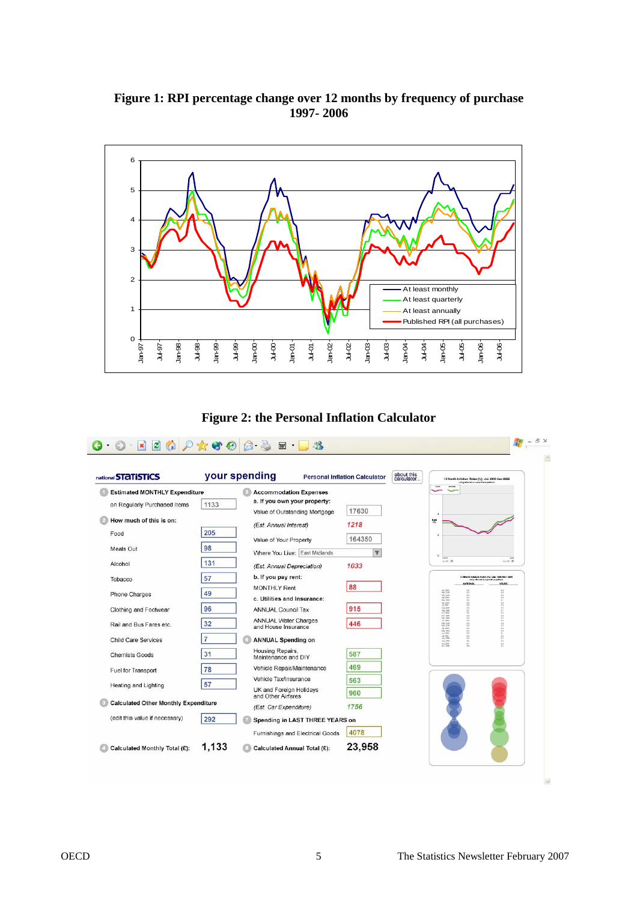#### **Figure 1: RPI percentage change over 12 months by frequency of purchase 1997- 2006**





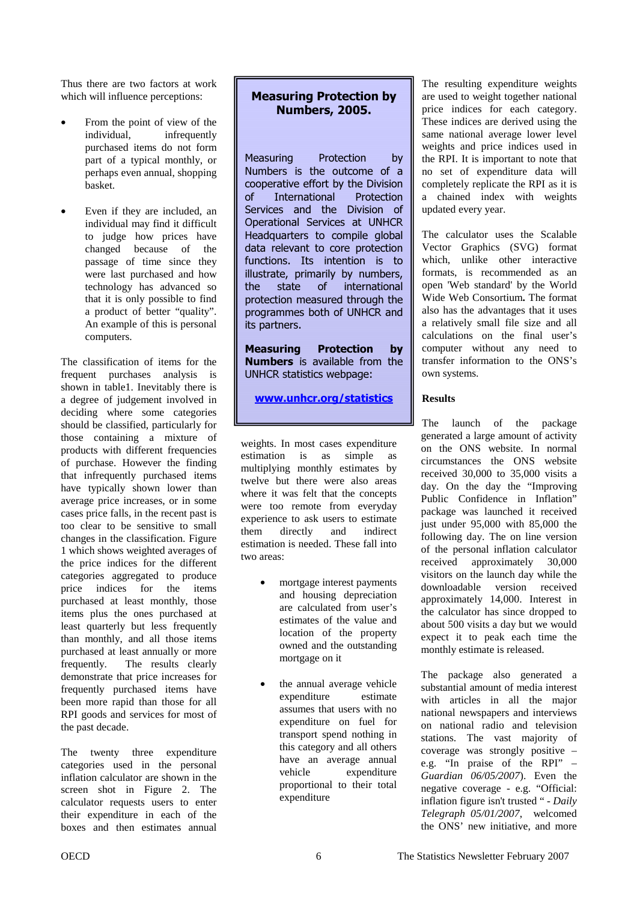Thus there are two factors at work which will influence perceptions:

- From the point of view of the individual, infrequently purchased items do not form part of a typical monthly, or perhaps even annual, shopping basket.
- Even if they are included, an individual may find it difficult to judge how prices have changed because of the passage of time since they were last purchased and how technology has advanced so that it is only possible to find a product of better "quality". An example of this is personal computers.

The classification of items for the frequent purchases analysis is shown in table1. Inevitably there is a degree of judgement involved in deciding where some categories should be classified, particularly for those containing a mixture of products with different frequencies of purchase. However the finding that infrequently purchased items have typically shown lower than average price increases, or in some cases price falls, in the recent past is too clear to be sensitive to small changes in the classification. Figure 1 which shows weighted averages of the price indices for the different categories aggregated to produce price indices for the items purchased at least monthly, those items plus the ones purchased at least quarterly but less frequently than monthly, and all those items purchased at least annually or more frequently. The results clearly demonstrate that price increases for frequently purchased items have been more rapid than those for all RPI goods and services for most of the past decade.

The twenty three expenditure categories used in the personal inflation calculator are shown in the screen shot in Figure 2. The calculator requests users to enter their expenditure in each of the boxes and then estimates annual

### **Measuring Protection by Numbers, 2005.**

Measuring Protection by Numbers is the outcome of a cooperative effort by the Division  $\alpha$ f **International** Protection Services and the Division of Operational Services at UNHCR Headquarters to compile global data relevant to core protection functions. Its intention is to illustrate, primarily by numbers, the state of international protection measured through the programmes both of UNHCR and its partners.

**Measuring Protection by Numbers** is available from the UNHCR statistics webpage:

<u>www.unhcr.org/statistics</u>

weights. In most cases expenditure estimation is as simple as multiplying monthly estimates by twelve but there were also areas where it was felt that the concepts were too remote from everyday experience to ask users to estimate them directly and indirect estimation is needed. These fall into two areas:

- mortgage interest payments and housing depreciation are calculated from user's estimates of the value and location of the property owned and the outstanding mortgage on it
- the annual average vehicle expenditure estimate assumes that users with no expenditure on fuel for transport spend nothing in this category and all others have an average annual vehicle expenditure proportional to their total expenditure

The resulting expenditure weights are used to weight together national price indices for each category. These indices are derived using the same national average lower level weights and price indices used in the RPI. It is important to note that no set of expenditure data will completely replicate the RPI as it is a chained index with weights updated every year.

The calculator uses the Scalable Vector Graphics (SVG) format which, unlike other interactive formats, is recommended as an open 'Web standard' by the World Wide Web Consortium**.** The format also has the advantages that it uses a relatively small file size and all calculations on the final user's computer without any need to transfer information to the ONS's own systems.

#### **Results**

The launch of the package generated a large amount of activity on the ONS website. In normal circumstances the ONS website received 30,000 to 35,000 visits a day. On the day the "Improving Public Confidence in Inflation" package was launched it received just under 95,000 with 85,000 the following day. The on line version of the personal inflation calculator received approximately 30,000 visitors on the launch day while the downloadable version received approximately 14,000. Interest in the calculator has since dropped to about 500 visits a day but we would expect it to peak each time the monthly estimate is released.

The package also generated a substantial amount of media interest with articles in all the major national newspapers and interviews on national radio and television stations. The vast majority of coverage was strongly positive – e.g. "In praise of the RPI" – *Guardian 06/05/2007*). Even the negative coverage - e.g. "Official: inflation figure isn't trusted " - *Daily Telegraph 05/01/2007*, welcomed the ONS' new initiative, and more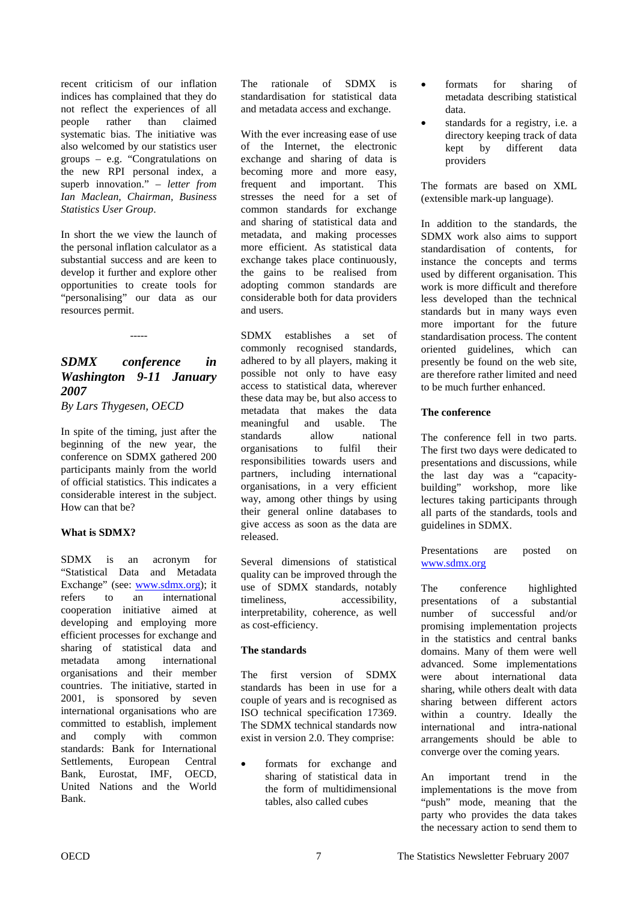<span id="page-6-0"></span>recent criticism of our inflation indices has complained that they do not reflect the experiences of all people rather than claimed systematic bias. The initiative was also welcomed by our statistics user groups – e.g. "Congratulations on the new RPI personal index, a superb innovation." *– letter from Ian Maclean, Chairman, Business Statistics User Group*.

In short the we view the launch of the personal inflation calculator as a substantial success and are keen to develop it further and explore other opportunities to create tools for "personalising" our data as our resources permit.

### *SDMX conference in Washington 9-11 January 2007*

-----

*By Lars Thygesen, OECD* 

In spite of the timing, just after the beginning of the new year, the conference on SDMX gathered 200 participants mainly from the world of official statistics. This indicates a considerable interest in the subject. How can that be?

#### **What is SDMX?**

SDMX is an acronym for "Statistical Data and Metadata Exchange" (see: www.sdmx.org); it refers to an international cooperation initiative aimed at developing and employing more efficient processes for exchange and sharing of statistical data and metadata among international organisations and their member countries. The initiative, started in 2001, is sponsored by seven international organisations who are committed to establish, implement and comply with common standards: Bank for International Settlements, European Central Bank, Eurostat, IMF, OECD, United Nations and the World Bank.

The rationale of SDMX is standardisation for statistical data and metadata access and exchange.

With the ever increasing ease of use of the Internet, the electronic exchange and sharing of data is becoming more and more easy, frequent and important. This stresses the need for a set of common standards for exchange and sharing of statistical data and metadata, and making processes more efficient. As statistical data exchange takes place continuously, the gains to be realised from adopting common standards are considerable both for data providers and users.

SDMX establishes a set of commonly recognised standards, adhered to by all players, making it possible not only to have easy access to statistical data, wherever these data may be, but also access to metadata that makes the data meaningful and usable. The standards allow national organisations to fulfil their responsibilities towards users and partners, including international organisations, in a very efficient way, among other things by using their general online databases to give access as soon as the data are released.

Several dimensions of statistical quality can be improved through the use of SDMX standards, notably timeliness, accessibility, interpretability, coherence, as well as cost-efficiency.

#### **The standards**

The first version of SDMX standards has been in use for a couple of years and is recognised as ISO technical specification 17369. The SDMX technical standards now exist in version 2.0. They comprise:

formats for exchange and sharing of statistical data in the form of multidimensional tables, also called cubes

- formats for sharing of metadata describing statistical data.
- standards for a registry, i.e. a directory keeping track of data kept by different data providers

The formats are based on XML (extensible mark-up language).

In addition to the standards, the SDMX work also aims to support standardisation of contents, for instance the concepts and terms used by different organisation. This work is more difficult and therefore less developed than the technical standards but in many ways even more important for the future standardisation process. The content oriented guidelines, which can presently be found on the web site, are therefore rather limited and need to be much further enhanced.

#### **The conference**

The conference fell in two parts. The first two days were dedicated to presentations and discussions, while the last day was a "capacitybuilding" workshop, more like lectures taking participants through all parts of the standards, tools and guidelines in SDMX.

Presentations are posted on www.sdmx.org

The conference highlighted presentations of a substantial number of successful and/or promising implementation projects in the statistics and central banks domains. Many of them were well advanced. Some implementations were about international data sharing, while others dealt with data sharing between different actors within a country. Ideally the international and intra-national arrangements should be able to converge over the coming years.

An important trend in the implementations is the move from "push" mode, meaning that the party who provides the data takes the necessary action to send them to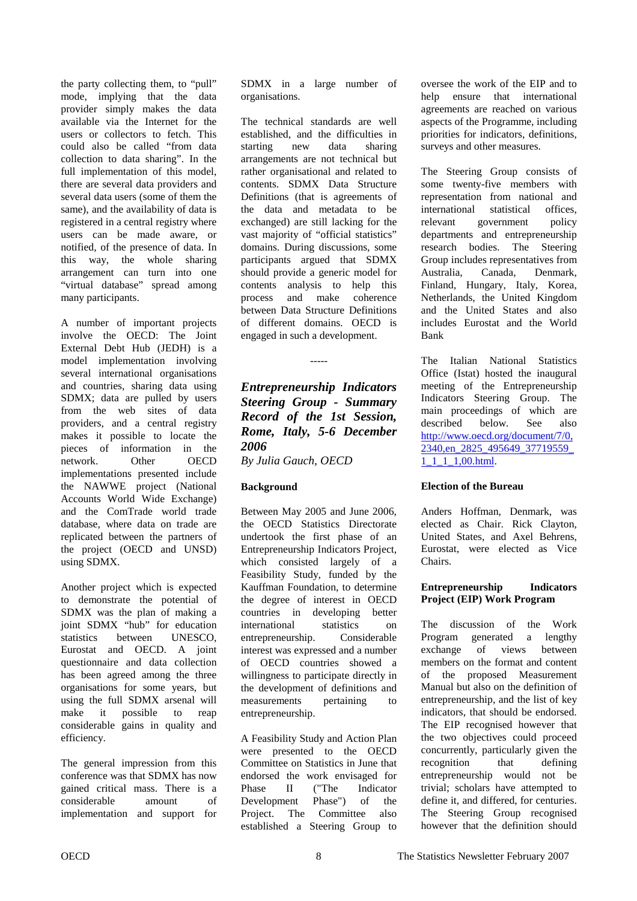the party collecting them, to "pull" mode, implying that the data provider simply makes the data available via the Internet for the users or collectors to fetch. This could also be called "from data collection to data sharing". In the full implementation of this model, there are several data providers and several data users (some of them the same), and the availability of data is registered in a central registry where users can be made aware, or notified, of the presence of data. In this way, the whole sharing arrangement can turn into one "virtual database" spread among many participants.

A number of important projects involve the OECD: The Joint External Debt Hub (JEDH) is a model implementation involving several international organisations and countries, sharing data using SDMX; data are pulled by users from the web sites of data providers, and a central registry makes it possible to locate the pieces of information in the network. Other OECD implementations presented include the NAWWE project (National Accounts World Wide Exchange) and the ComTrade world trade database, where data on trade are replicated between the partners of the project (OECD and UNSD) using SDMX.

Another project which is expected to demonstrate the potential of SDMX was the plan of making a joint SDMX "hub" for education statistics between UNESCO, Eurostat and OECD. A joint questionnaire and data collection has been agreed among the three organisations for some years, but using the full SDMX arsenal will make it possible to reap considerable gains in quality and efficiency.

The general impression from this conference was that SDMX has now gained critical mass. There is a considerable amount of implementation and support for SDMX in a large number of organisations.

The technical standards are well established, and the difficulties in starting new data sharing arrangements are not technical but rather organisational and related to contents. SDMX Data Structure Definitions (that is agreements of the data and metadata to be exchanged) are still lacking for the vast majority of "official statistics" domains. During discussions, some participants argued that SDMX should provide a generic model for contents analysis to help this process and make coherence between Data Structure Definitions of different domains. OECD is engaged in such a development.

*Entrepreneurship Indicators Steering Group - Summary Record of the 1st Session, Rome, Italy, 5-6 December 2006 By Julia Gauch, OECD*

-----

#### **Background**

Between May 2005 and June 2006, the OECD Statistics Directorate undertook the first phase of an Entrepreneurship Indicators Project, which consisted largely of a Feasibility Study, funded by the Kauffman Foundation, to determine the degree of interest in OECD countries in developing better international statistics on entrepreneurship. Considerable interest was expressed and a number of OECD countries showed a willingness to participate directly in the development of definitions and measurements pertaining to entrepreneurship.

A Feasibility Study and Action Plan were presented to the OECD Committee on Statistics in June that endorsed the work envisaged for Phase II ("The Indicator Development Phase") of the Project. The Committee also established a Steering Group to

oversee the work of the EIP and to help ensure that international agreements are reached on various aspects of the Programme, including priorities for indicators, definitions, surveys and other measures.

The Steering Group consists of some twenty-five members with representation from national and international statistical offices, relevant government policy departments and entrepreneurship research bodies. The Steering Group includes representatives from Australia, Canada, Denmark, Finland, Hungary, Italy, Korea, Netherlands, the United Kingdom and the United States and also includes Eurostat and the World Bank

The Italian National Statistics Office (Istat) hosted the inaugural meeting of the Entrepreneurship Indicators Steering Group. The main proceedings of which are described below. See also http://www.oecd.org/document/7/0, [2340,en\\_2825\\_495649\\_37719559\\_](http://www.oecd.org/document/7/0,2340,en_2825_495649_37719559_1_1_1_1,00.html) 1\_1\_1\_1,00.html.

#### **Election of the Bureau**

Anders Hoffman, Denmark, was elected as Chair. Rick Clayton, United States, and Axel Behrens, Eurostat, were elected as Vice Chairs.

#### **Entrepreneurship Indicators Project (EIP) Work Program**

The discussion of the Work Program generated a lengthy exchange of views between members on the format and content of the proposed Measurement Manual but also on the definition of entrepreneurship, and the list of key indicators, that should be endorsed. The EIP recognised however that the two objectives could proceed concurrently, particularly given the recognition that defining entrepreneurship would not be trivial; scholars have attempted to define it, and differed, for centuries. The Steering Group recognised however that the definition should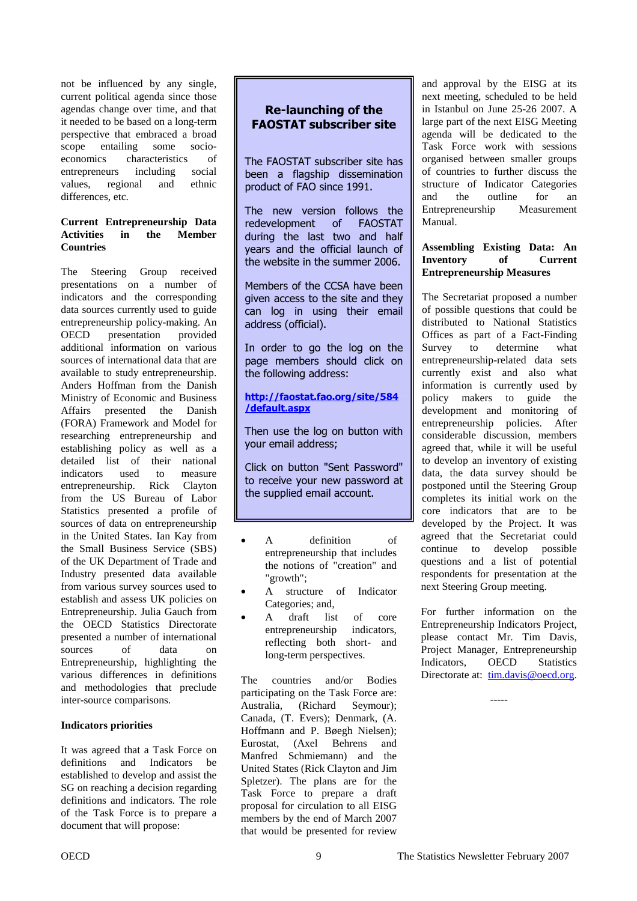not be influenced by any single, current political agenda since those agendas change over time, and that it needed to be based on a long-term perspective that embraced a broad scope entailing some socioeconomics characteristics of entrepreneurs including social values, regional and ethnic differences, etc.

#### **Current Entrepreneurship Data Activities in the Member Countries**

The Steering Group received presentations on a number of indicators and the corresponding data sources currently used to guide entrepreneurship policy-making. An OECD presentation provided additional information on various sources of international data that are available to study entrepreneurship. Anders Hoffman from the Danish Ministry of Economic and Business Affairs presented the Danish (FORA) Framework and Model for researching entrepreneurship and establishing policy as well as a detailed list of their national indicators used to measure entrepreneurship. Rick Clayton from the US Bureau of Labor Statistics presented a profile of sources of data on entrepreneurship in the United States. Ian Kay from the Small Business Service (SBS) of the UK Department of Trade and Industry presented data available from various survey sources used to establish and assess UK policies on Entrepreneurship. Julia Gauch from the OECD Statistics Directorate presented a number of international sources of data on Entrepreneurship, highlighting the various differences in definitions and methodologies that preclude inter-source comparisons.

#### **Indicators priorities**

It was agreed that a Task Force on definitions and Indicators be established to develop and assist the SG on reaching a decision regarding definitions and indicators. The role of the Task Force is to prepare a document that will propose:

#### **Re-launching of the FAOSTAT subscriber site**

The FAOSTAT subscriber site has been a flagship dissemination product of FAO since 1991.

The new version follows the redevelopment  $-$  of FAOSTAT during the last two and half years and the official launch of the website in the summer 2006.

Members of the CCSA have been given access to the site and they can log in using their email address (official).

In order to go the log on the page members should click on the following address:

#### <u>http://faostat.fao.org/site/584</u> <u>/default.aspx</u>

Then use the log on button with your email address;

Click on button "Sent Password" to receive your new password at the supplied email account.

- A definition of entrepreneurship that includes the notions of "creation" and "growth";
- A structure of Indicator Categories; and,
- A draft list of core entrepreneurship indicators, reflecting both short- and long-term perspectives.

The countries and/or Bodies participating on the Task Force are: Australia, (Richard Seymour); Canada, (T. Evers); Denmark, (A. Hoffmann and P. Bøegh Nielsen); Eurostat, (Axel Behrens and Manfred Schmiemann) and the United States (Rick Clayton and Jim Spletzer). The plans are for the Task Force to prepare a draft proposal for circulation to all EISG members by the end of March 2007 that would be presented for review

and approval by the EISG at its next meeting, scheduled to be held in Istanbul on June 25-26 2007. A large part of the next EISG Meeting agenda will be dedicated to the Task Force work with sessions organised between smaller groups of countries to further discuss the structure of Indicator Categories and the outline for an Entrepreneurship Measurement Manual.

#### **Assembling Existing Data: An Inventory of Current Entrepreneurship Measures**

The Secretariat proposed a number of possible questions that could be distributed to National Statistics Offices as part of a Fact-Finding Survey to determine what entrepreneurship-related data sets currently exist and also what information is currently used by policy makers to guide the development and monitoring of entrepreneurship policies. After considerable discussion, members agreed that, while it will be useful to develop an inventory of existing data, the data survey should be postponed until the Steering Group completes its initial work on the core indicators that are to be developed by the Project. It was agreed that the Secretariat could continue to develop possible questions and a list of potential respondents for presentation at the next Steering Group meeting.

For further information on the Entrepreneurship Indicators Project, please contact Mr. Tim Davis, Project Manager, Entrepreneurship<br>Indicators, OECD Statistics Indicators, OECD Statistics Directorate at:  $tim.davis@oecd.org.$ </u>

-----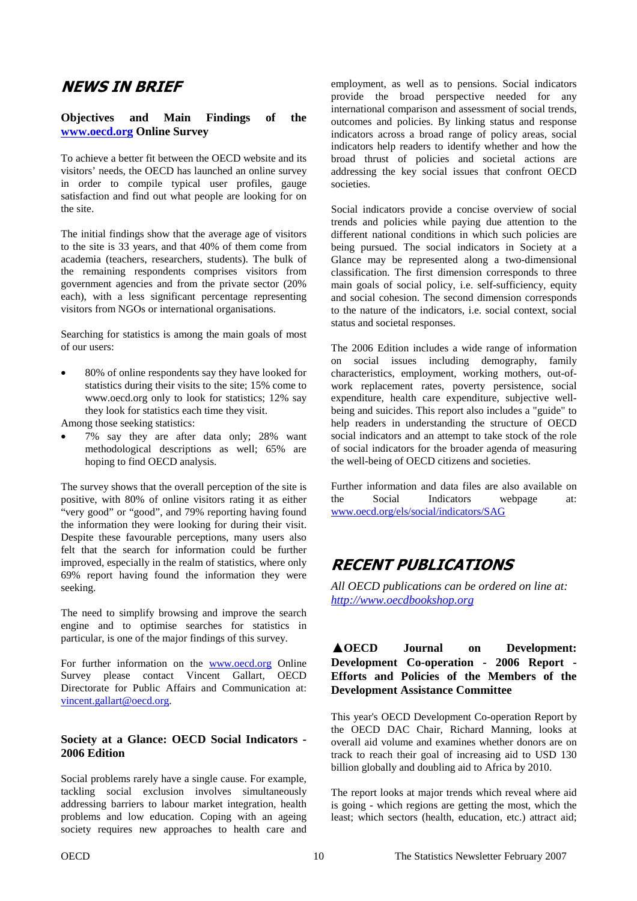## <span id="page-9-0"></span>**NEWS IN BRIEF**

#### **Objectives and Main Findings of the www.oecd.org Online Survey**

To achieve a better fit between the OECD website and its visitors' needs, the OECD has launched an online survey in order to compile typical user profiles, gauge satisfaction and find out what people are looking for on the site.

The initial findings show that the average age of visitors to the site is 33 years, and that 40% of them come from academia (teachers, researchers, students). The bulk of the remaining respondents comprises visitors from government agencies and from the private sector (20% each), with a less significant percentage representing visitors from NGOs or international organisations.

Searching for statistics is among the main goals of most of our users:

• 80% of online respondents say they have looked for statistics during their visits to the site; 15% come to www.oecd.org only to look for statistics; 12% say they look for statistics each time they visit.

Among those seeking statistics:

• 7% say they are after data only; 28% want methodological descriptions as well; 65% are hoping to find OECD analysis.

The survey shows that the overall perception of the site is positive, with 80% of online visitors rating it as either "very good" or "good", and 79% reporting having found the information they were looking for during their visit. Despite these favourable perceptions, many users also felt that the search for information could be further improved, especially in the realm of statistics, where only 69% report having found the information they were seeking.

The need to simplify browsing and improve the search engine and to optimise searches for statistics in particular, is one of the major findings of this survey.

For further information on the www.oecd.org Online Survey please contact Vincent Gallart, OECD Directorate for Public Affairs and Communication at: vincent.gallart@oecd.org.

#### **Society at a Glance: OECD Social Indicators - 2006 Edition**

Social problems rarely have a single cause. For example, tackling social exclusion involves simultaneously addressing barriers to labour market integration, health problems and low education. Coping with an ageing society requires new approaches to health care and

employment, as well as to pensions. Social indicators provide the broad perspective needed for any international comparison and assessment of social trends, outcomes and policies. By linking status and response indicators across a broad range of policy areas, social indicators help readers to identify whether and how the broad thrust of policies and societal actions are addressing the key social issues that confront OECD societies.

Social indicators provide a concise overview of social trends and policies while paying due attention to the different national conditions in which such policies are being pursued. The social indicators in Society at a Glance may be represented along a two-dimensional classification. The first dimension corresponds to three main goals of social policy, i.e. self-sufficiency, equity and social cohesion. The second dimension corresponds to the nature of the indicators, i.e. social context, social status and societal responses.

The 2006 Edition includes a wide range of information on social issues including demography, family characteristics, employment, working mothers, out-ofwork replacement rates, poverty persistence, social expenditure, health care expenditure, subjective wellbeing and suicides. This report also includes a "guide" to help readers in understanding the structure of OECD social indicators and an attempt to take stock of the role of social indicators for the broader agenda of measuring the well-being of OECD citizens and societies.

Further information and data files are also available on the Social Indicators webpage at: www.oecd.org/els/social/indicators/SAG

## **RECENT PUBLICATIONS**

*All OECD publications can be ordered on line at: http://www.oecdbookshop.org*

#### **OECD Journal on Development: Development Co-operation - 2006 Report - Efforts and Policies of the Members of the Development Assistance Committee**

This year's OECD Development Co-operation Report by the OECD DAC Chair, Richard Manning, looks at overall aid volume and examines whether donors are on track to reach their goal of increasing aid to USD 130 billion globally and doubling aid to Africa by 2010.

The report looks at major trends which reveal where aid is going - which regions are getting the most, which the least; which sectors (health, education, etc.) attract aid;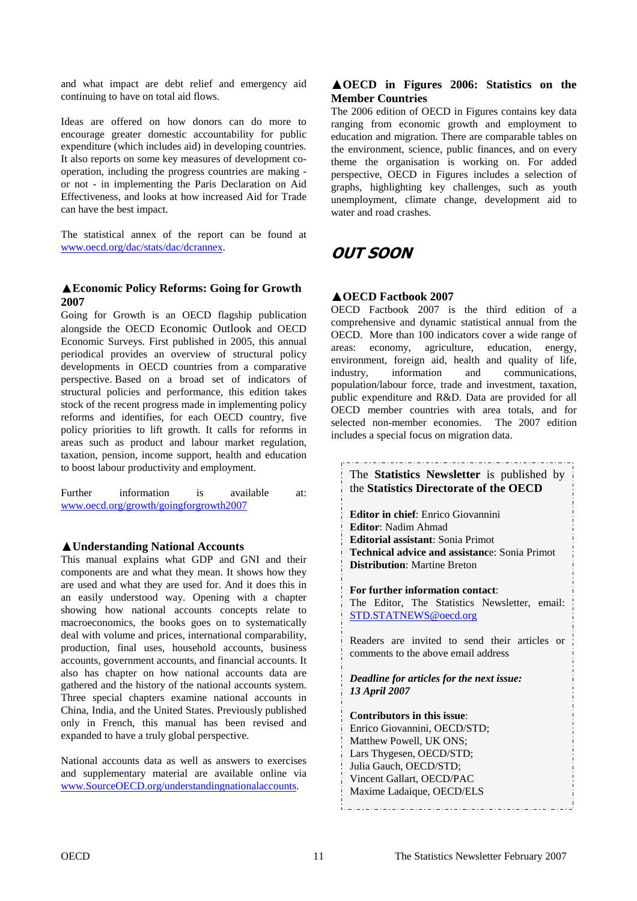and what impact are debt relief and emergency aid continuing to have on total aid flows.

Ideas are offered on how donors can do more to encourage greater domestic accountability for public expenditure (which includes aid) in developing countries. It also reports on some key measures of development cooperation, including the progress countries are making or not - in implementing the Paris Declaration on Aid Effectiveness, and looks at how increased Aid for Trade can have the best impact.

The statistical annex of the report can be found at www.oecd.org/dac/stats/dac/dcrannex.

#### **Economic Policy Reforms: Going for Growth 2007**

Going for Growth is an OECD flagship publication alongside the OECD Economic Outlook and OECD Economic Surveys. First published in 2005, this annual periodical provides an overview of structural policy developments in OECD countries from a comparative perspective. Based on a broad set of indicators of structural policies and performance, this edition takes stock of the recent progress made in implementing policy reforms and identifies, for each OECD country, five policy priorities to lift growth. It calls for reforms in areas such as product and labour market regulation, taxation, pension, income support, health and education to boost labour productivity and employment.

| Further | information                            | <b>1S</b> | available | at: |
|---------|----------------------------------------|-----------|-----------|-----|
|         | www.oecd.org/growth/goingforgrowth2007 |           |           |     |

#### **Understanding National Accounts**

This manual explains what GDP and GNI and their components are and what they mean. It shows how they are used and what they are used for. And it does this in an easily understood way. Opening with a chapter showing how national accounts concepts relate to macroeconomics, the books goes on to systematically deal with volume and prices, international comparability, production, final uses, household accounts, business accounts, government accounts, and financial accounts. It also has chapter on how national accounts data are gathered and the history of the national accounts system. Three special chapters examine national accounts in China, India, and the United States. Previously published only in French, this manual has been revised and expanded to have a truly global perspective.

National accounts data as well as answers to exercises and supplementary material are available online via www.SourceOECD.org/understandingnationalaccounts.

#### **OECD in Figures 2006: Statistics on the Member Countries**

The 2006 edition of OECD in Figures contains key data ranging from economic growth and employment to education and migration. There are comparable tables on the environment, science, public finances, and on every theme the organisation is working on. For added perspective, OECD in Figures includes a selection of graphs, highlighting key challenges, such as youth unemployment, climate change, development aid to water and road crashes.

## **OUT SOON**

#### **OECD Factbook 2007**

OECD Factbook 2007 is the third edition of a comprehensive and dynamic statistical annual from the OECD. More than 100 indicators cover a wide range of areas: economy, agriculture, education, energy, environment, foreign aid, health and quality of life, industry, information and communications, population/labour force, trade and investment, taxation, public expenditure and R&D. Data are provided for all OECD member countries with area totals, and for selected non-member economies. The 2007 edition includes a special focus on migration data.

The **Statistics Newsletter** is published by the **Statistics Directorate of the OECD Editor in chief**: Enrico Giovannini **Editor**: Nadim Ahmad **Editorial assistant**: Sonia Primot **Technical advice and assistanc**e: Sonia Primot **Distribution**: Martine Breton **For further information contact**: The Editor, The Statistics Newsletter, email: STD.STATNEWS@oecd.org Readers are invited to send their articles or comments to the above email address *Deadline for articles for the next issue: 13 April 2007*  **Contributors in this issue**: Enrico Giovannini, OECD/STD; Matthew Powell, UK ONS; Lars Thygesen, OECD/STD; Julia Gauch, OECD/STD; Vincent Gallart, OECD/PAC Maxime Ladaique, OECD/ELS